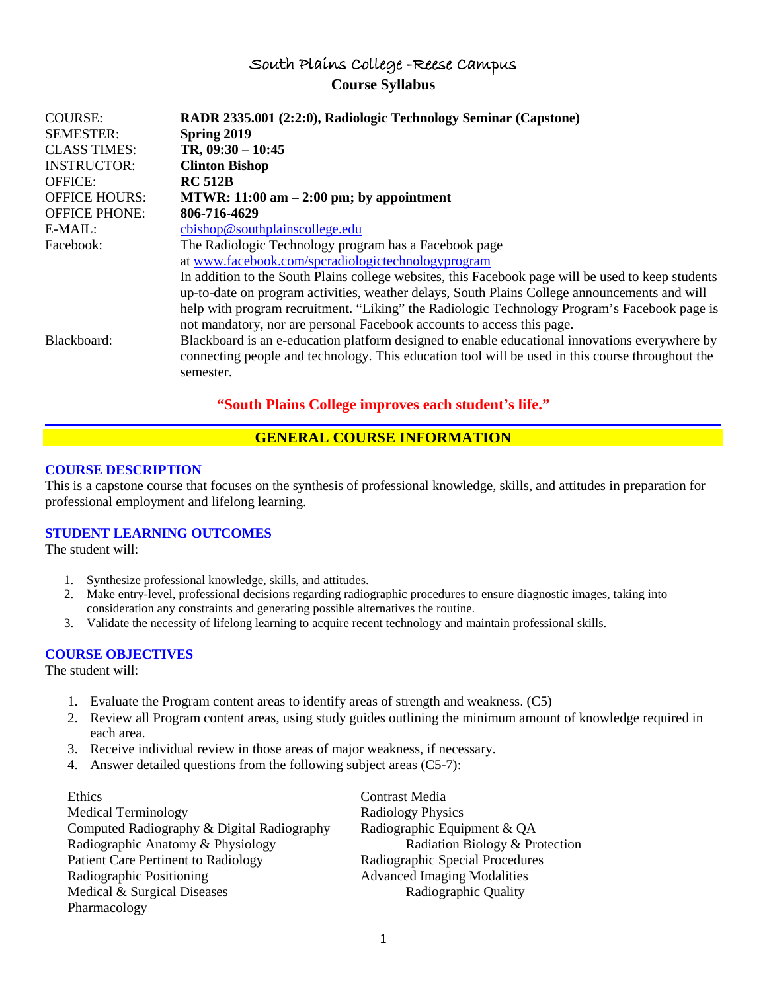# South Plains College -Reese Campus **Course Syllabus**

| <b>COURSE:</b><br><b>SEMESTER:</b>        | RADR 2335.001 (2:2:0), Radiologic Technology Seminar (Capstone)<br>Spring 2019                                                                                                                                                                                                                                                                                                |
|-------------------------------------------|-------------------------------------------------------------------------------------------------------------------------------------------------------------------------------------------------------------------------------------------------------------------------------------------------------------------------------------------------------------------------------|
| <b>CLASS TIMES:</b><br><b>INSTRUCTOR:</b> | TR, $09:30 - 10:45$<br><b>Clinton Bishop</b>                                                                                                                                                                                                                                                                                                                                  |
| <b>OFFICE:</b>                            | <b>RC 512B</b>                                                                                                                                                                                                                                                                                                                                                                |
| <b>OFFICE HOURS:</b>                      | MTWR: $11:00$ am $-2:00$ pm; by appointment                                                                                                                                                                                                                                                                                                                                   |
| <b>OFFICE PHONE:</b>                      | 806-716-4629                                                                                                                                                                                                                                                                                                                                                                  |
| E-MAIL:                                   | cbishop@southplain scollege.edu                                                                                                                                                                                                                                                                                                                                               |
| Facebook:                                 | The Radiologic Technology program has a Facebook page                                                                                                                                                                                                                                                                                                                         |
|                                           | at www.facebook.com/spcradiologictechnologyprogram                                                                                                                                                                                                                                                                                                                            |
|                                           | In addition to the South Plains college websites, this Facebook page will be used to keep students<br>up-to-date on program activities, weather delays, South Plains College announcements and will<br>help with program recruitment. "Liking" the Radiologic Technology Program's Facebook page is<br>not mandatory, nor are personal Facebook accounts to access this page. |
| Blackboard:                               | Blackboard is an e-education platform designed to enable educational innovations everywhere by<br>connecting people and technology. This education tool will be used in this course throughout the<br>semester.                                                                                                                                                               |

## **"South Plains College improves each student's life."**

## **GENERAL COURSE INFORMATION**

## **COURSE DESCRIPTION**

This is a capstone course that focuses on the synthesis of professional knowledge, skills, and attitudes in preparation for professional employment and lifelong learning.

## **STUDENT LEARNING OUTCOMES**

The student will:

- 1. Synthesize professional knowledge, skills, and attitudes.
- 2. Make entry-level, professional decisions regarding radiographic procedures to ensure diagnostic images, taking into consideration any constraints and generating possible alternatives the routine.
- 3. Validate the necessity of lifelong learning to acquire recent technology and maintain professional skills.

## **COURSE OBJECTIVES**

The student will:

- 1. Evaluate the Program content areas to identify areas of strength and weakness. (C5)
- 2. Review all Program content areas, using study guides outlining the minimum amount of knowledge required in each area.
- 3. Receive individual review in those areas of major weakness, if necessary.
- 4. Answer detailed questions from the following subject areas (C5-7):

Ethics Contrast Media Medical Terminology **Radiology Physics** Computed Radiography & Digital Radiography Radiographic Equipment & QA Radiographic Anatomy & Physiology Radiation Biology & Protection Patient Care Pertinent to Radiology Radiographic Special Procedures Radiographic Positioning Advanced Imaging Modalities Medical & Surgical Diseases Radiographic Quality Pharmacology

1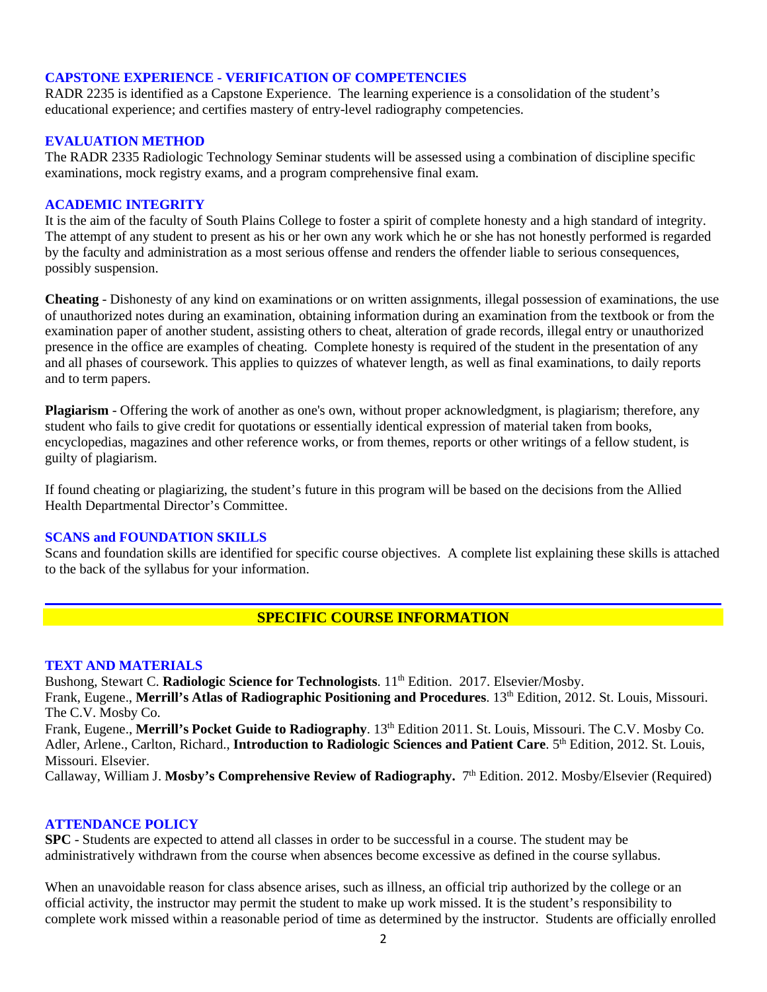## **CAPSTONE EXPERIENCE - VERIFICATION OF COMPETENCIES**

RADR 2235 is identified as a Capstone Experience. The learning experience is a consolidation of the student's educational experience; and certifies mastery of entry-level radiography competencies.

### **EVALUATION METHOD**

The RADR 2335 Radiologic Technology Seminar students will be assessed using a combination of discipline specific examinations, mock registry exams, and a program comprehensive final exam.

### **ACADEMIC INTEGRITY**

It is the aim of the faculty of South Plains College to foster a spirit of complete honesty and a high standard of integrity. The attempt of any student to present as his or her own any work which he or she has not honestly performed is regarded by the faculty and administration as a most serious offense and renders the offender liable to serious consequences, possibly suspension.

**Cheating** - Dishonesty of any kind on examinations or on written assignments, illegal possession of examinations, the use of unauthorized notes during an examination, obtaining information during an examination from the textbook or from the examination paper of another student, assisting others to cheat, alteration of grade records, illegal entry or unauthorized presence in the office are examples of cheating. Complete honesty is required of the student in the presentation of any and all phases of coursework. This applies to quizzes of whatever length, as well as final examinations, to daily reports and to term papers.

**Plagiarism** - Offering the work of another as one's own, without proper acknowledgment, is plagiarism; therefore, any student who fails to give credit for quotations or essentially identical expression of material taken from books, encyclopedias, magazines and other reference works, or from themes, reports or other writings of a fellow student, is guilty of plagiarism.

If found cheating or plagiarizing, the student's future in this program will be based on the decisions from the Allied Health Departmental Director's Committee.

### **SCANS and FOUNDATION SKILLS**

Scans and foundation skills are identified for specific course objectives. A complete list explaining these skills is attached to the back of the syllabus for your information.

## **SPECIFIC COURSE INFORMATION**

#### **TEXT AND MATERIALS**

Bushong, Stewart C. **Radiologic Science for Technologists**. 11<sup>th</sup> Edition. 2017. Elsevier/Mosby.

Frank, Eugene., Merrill's Atlas of Radiographic Positioning and Procedures. 13<sup>th</sup> Edition, 2012. St. Louis, Missouri. The C.V. Mosby Co.

Frank, Eugene., Merrill's Pocket Guide to Radiography. 13<sup>th</sup> Edition 2011. St. Louis, Missouri. The C.V. Mosby Co. Adler, Arlene., Carlton, Richard., **Introduction to Radiologic Sciences and Patient Care**. 5<sup>th</sup> Edition, 2012. St. Louis, Missouri. Elsevier.

Callaway, William J. Mosby's Comprehensive Review of Radiography. 7<sup>th</sup> Edition. 2012. Mosby/Elsevier (Required)

### **ATTENDANCE POLICY**

**SPC** - Students are expected to attend all classes in order to be successful in a course. The student may be administratively withdrawn from the course when absences become excessive as defined in the course syllabus.

When an unavoidable reason for class absence arises, such as illness, an official trip authorized by the college or an official activity, the instructor may permit the student to make up work missed. It is the student's responsibility to complete work missed within a reasonable period of time as determined by the instructor. Students are officially enrolled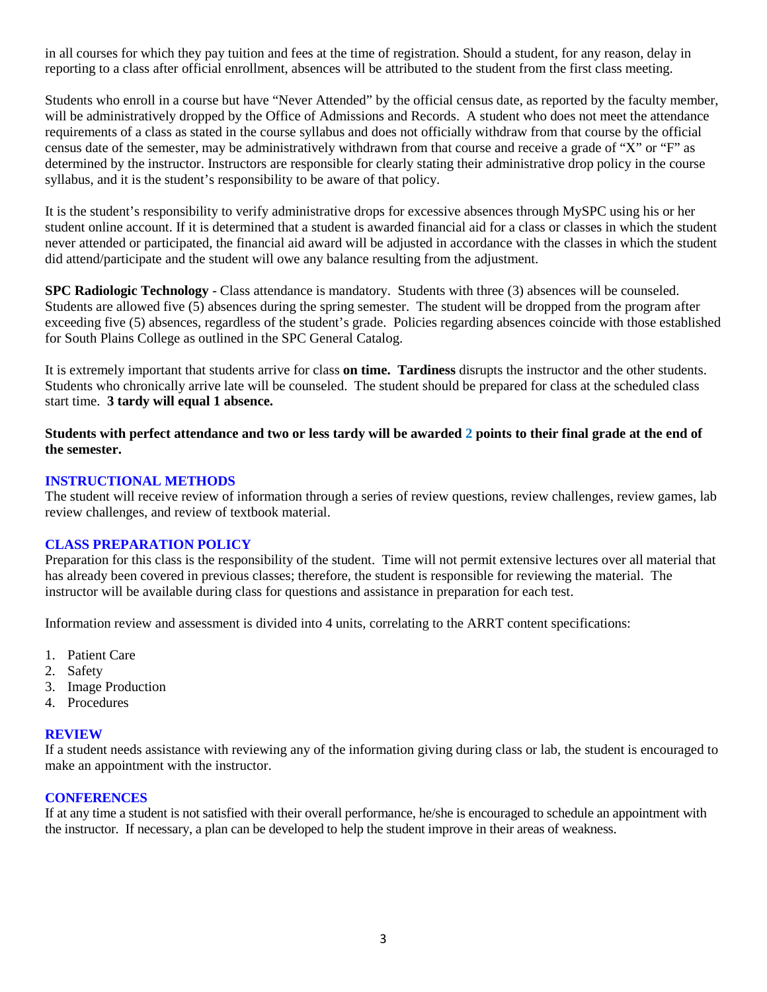in all courses for which they pay tuition and fees at the time of registration. Should a student, for any reason, delay in reporting to a class after official enrollment, absences will be attributed to the student from the first class meeting.

Students who enroll in a course but have "Never Attended" by the official census date, as reported by the faculty member, will be administratively dropped by the Office of Admissions and Records. A student who does not meet the attendance requirements of a class as stated in the course syllabus and does not officially withdraw from that course by the official census date of the semester, may be administratively withdrawn from that course and receive a grade of "X" or "F" as determined by the instructor. Instructors are responsible for clearly stating their administrative drop policy in the course syllabus, and it is the student's responsibility to be aware of that policy.

It is the student's responsibility to verify administrative drops for excessive absences through MySPC using his or her student online account. If it is determined that a student is awarded financial aid for a class or classes in which the student never attended or participated, the financial aid award will be adjusted in accordance with the classes in which the student did attend/participate and the student will owe any balance resulting from the adjustment.

**SPC Radiologic Technology** - Class attendance is mandatory. Students with three (3) absences will be counseled. Students are allowed five (5) absences during the spring semester. The student will be dropped from the program after exceeding five (5) absences, regardless of the student's grade. Policies regarding absences coincide with those established for South Plains College as outlined in the SPC General Catalog.

It is extremely important that students arrive for class **on time. Tardiness** disrupts the instructor and the other students. Students who chronically arrive late will be counseled. The student should be prepared for class at the scheduled class start time. **3 tardy will equal 1 absence.**

**Students with perfect attendance and two or less tardy will be awarded 2 points to their final grade at the end of the semester.**

## **INSTRUCTIONAL METHODS**

The student will receive review of information through a series of review questions, review challenges, review games, lab review challenges, and review of textbook material.

## **CLASS PREPARATION POLICY**

Preparation for this class is the responsibility of the student. Time will not permit extensive lectures over all material that has already been covered in previous classes; therefore, the student is responsible for reviewing the material. The instructor will be available during class for questions and assistance in preparation for each test.

Information review and assessment is divided into 4 units, correlating to the ARRT content specifications:

- 1. Patient Care
- 2. Safety
- 3. Image Production
- 4. Procedures

### **REVIEW**

If a student needs assistance with reviewing any of the information giving during class or lab, the student is encouraged to make an appointment with the instructor.

## **CONFERENCES**

If at any time a student is not satisfied with their overall performance, he/she is encouraged to schedule an appointment with the instructor. If necessary, a plan can be developed to help the student improve in their areas of weakness.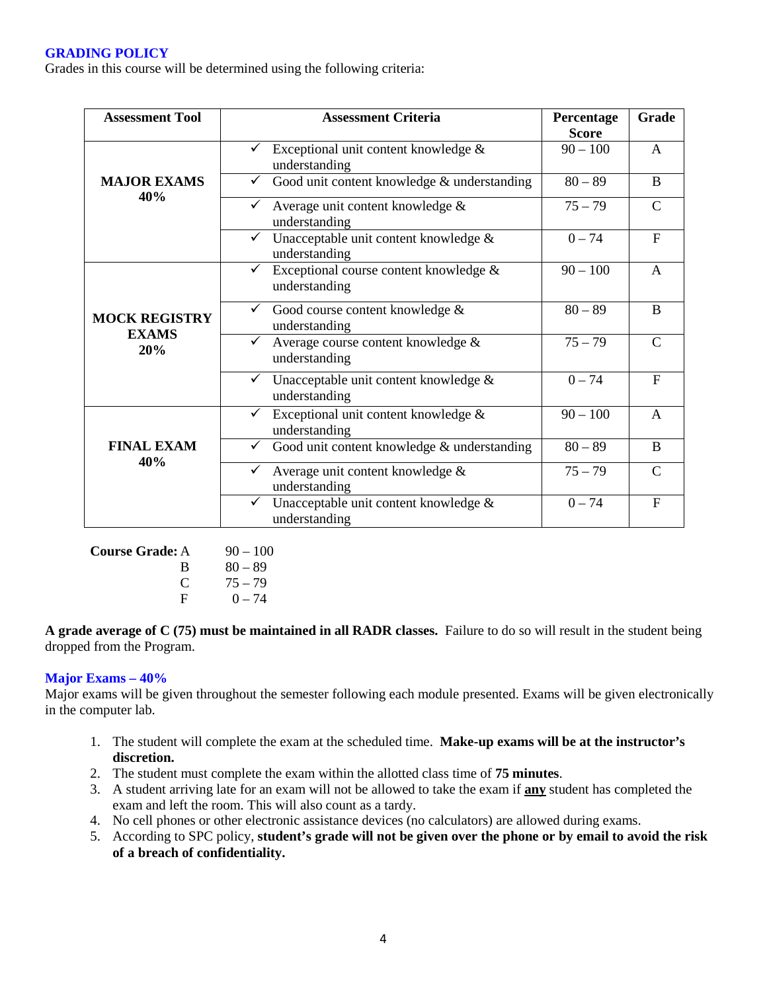## **GRADING POLICY**

Grades in this course will be determined using the following criteria:

| <b>Assessment Tool</b>               | <b>Assessment Criteria</b>                                               | Percentage<br><b>Score</b> | <b>Grade</b>   |
|--------------------------------------|--------------------------------------------------------------------------|----------------------------|----------------|
|                                      | Exceptional unit content knowledge $\&$<br>$\checkmark$<br>understanding | $90 - 100$                 | $\mathsf{A}$   |
| <b>MAJOR EXAMS</b><br>40%            | Good unit content knowledge & understanding                              | $80 - 89$                  | B              |
|                                      | Average unit content knowledge &<br>understanding                        | $75 - 79$                  | $\mathcal{C}$  |
|                                      | Unacceptable unit content knowledge &<br>understanding                   | $0 - 74$                   | $\mathbf{F}$   |
|                                      | Exceptional course content knowledge &<br>✓<br>understanding             | $90 - 100$                 | $\mathsf{A}$   |
| <b>MOCK REGISTRY</b><br><b>EXAMS</b> | Good course content knowledge &<br>✓<br>understanding                    | $80 - 89$                  | B              |
| 20%                                  | Average course content knowledge &<br>understanding                      | $75 - 79$                  | $\mathcal{C}$  |
|                                      | Unacceptable unit content knowledge &<br>understanding                   | $0 - 74$                   | $\overline{F}$ |
|                                      | Exceptional unit content knowledge &<br>understanding                    | $90 - 100$                 | A              |
| <b>FINAL EXAM</b>                    | Good unit content knowledge & understanding                              | $80 - 89$                  | <sub>B</sub>   |
| 40%                                  | Average unit content knowledge &<br>✓<br>understanding                   | $75 - 79$                  | $\mathcal{C}$  |
|                                      | Unacceptable unit content knowledge &<br>✓<br>understanding              | $0 - 74$                   | $\overline{F}$ |

**Course Grade:** A 90 – 100 B  $80 - 89$  $\begin{array}{cc} C & 75 - 79 \\ F & 0 - 74 \end{array}$  $0 - 74$ 

**A grade average of C (75) must be maintained in all RADR classes.** Failure to do so will result in the student being dropped from the Program.

## **Major Exams – 40%**

Major exams will be given throughout the semester following each module presented. Exams will be given electronically in the computer lab.

- 1. The student will complete the exam at the scheduled time. **Make-up exams will be at the instructor's discretion.**
- 2. The student must complete the exam within the allotted class time of **75 minutes**.
- 3. A student arriving late for an exam will not be allowed to take the exam if **any** student has completed the exam and left the room. This will also count as a tardy.
- 4. No cell phones or other electronic assistance devices (no calculators) are allowed during exams.
- 5. According to SPC policy, **student's grade will not be given over the phone or by email to avoid the risk of a breach of confidentiality.**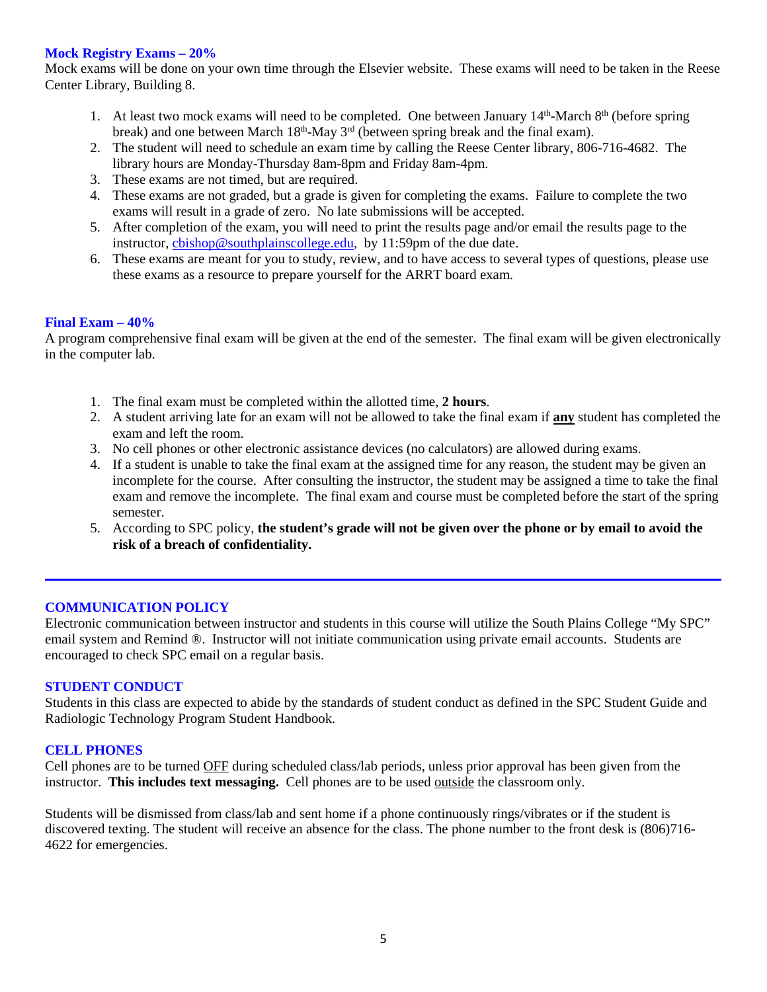### **Mock Registry Exams – 20%**

Mock exams will be done on your own time through the Elsevier website. These exams will need to be taken in the Reese Center Library, Building 8.

- 1. At least two mock exams will need to be completed. One between January  $14<sup>th</sup>$ -March  $8<sup>th</sup>$  (before spring break) and one between March  $18<sup>th</sup>$ -May  $3<sup>rd</sup>$  (between spring break and the final exam).
- 2. The student will need to schedule an exam time by calling the Reese Center library, 806-716-4682. The library hours are Monday-Thursday 8am-8pm and Friday 8am-4pm.
- 3. These exams are not timed, but are required.
- 4. These exams are not graded, but a grade is given for completing the exams. Failure to complete the two exams will result in a grade of zero. No late submissions will be accepted.
- 5. After completion of the exam, you will need to print the results page and/or email the results page to the instructor, [cbishop@southplainscollege.edu,](mailto:cbishop@southplainscollege.edu) by 11:59pm of the due date.
- 6. These exams are meant for you to study, review, and to have access to several types of questions, please use these exams as a resource to prepare yourself for the ARRT board exam.

### **Final Exam – 40%**

A program comprehensive final exam will be given at the end of the semester. The final exam will be given electronically in the computer lab.

- 1. The final exam must be completed within the allotted time, **2 hours**.
- 2. A student arriving late for an exam will not be allowed to take the final exam if **any** student has completed the exam and left the room.
- 3. No cell phones or other electronic assistance devices (no calculators) are allowed during exams.
- 4. If a student is unable to take the final exam at the assigned time for any reason, the student may be given an incomplete for the course. After consulting the instructor, the student may be assigned a time to take the final exam and remove the incomplete. The final exam and course must be completed before the start of the spring semester.
- 5. According to SPC policy, **the student's grade will not be given over the phone or by email to avoid the risk of a breach of confidentiality.**

### **COMMUNICATION POLICY**

Electronic communication between instructor and students in this course will utilize the South Plains College "My SPC" email system and Remind ®. Instructor will not initiate communication using private email accounts. Students are encouraged to check SPC email on a regular basis.

### **STUDENT CONDUCT**

Students in this class are expected to abide by the standards of student conduct as defined in the SPC Student Guide and Radiologic Technology Program Student Handbook.

## **CELL PHONES**

Cell phones are to be turned OFF during scheduled class/lab periods, unless prior approval has been given from the instructor. **This includes text messaging.** Cell phones are to be used outside the classroom only.

Students will be dismissed from class/lab and sent home if a phone continuously rings/vibrates or if the student is discovered texting. The student will receive an absence for the class. The phone number to the front desk is (806)716- 4622 for emergencies.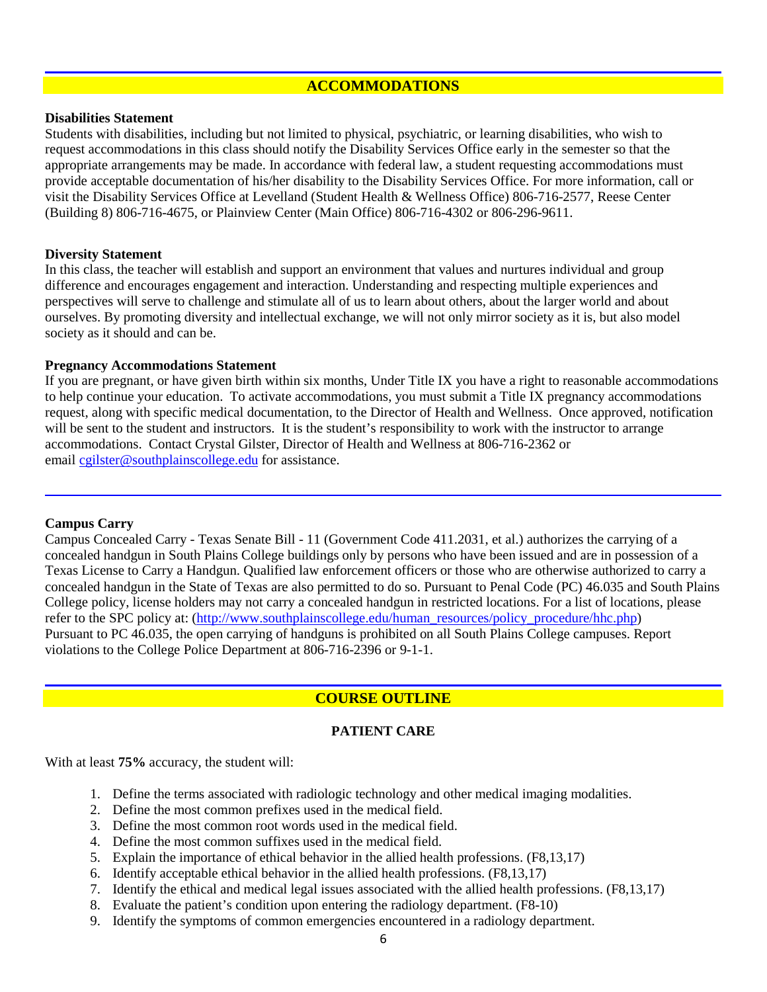## **ACCOMMODATIONS**

### **Disabilities Statement**

Students with disabilities, including but not limited to physical, psychiatric, or learning disabilities, who wish to request accommodations in this class should notify the Disability Services Office early in the semester so that the appropriate arrangements may be made. In accordance with federal law, a student requesting accommodations must provide acceptable documentation of his/her disability to the Disability Services Office. For more information, call or visit the Disability Services Office at Levelland (Student Health & Wellness Office) 806-716-2577, Reese Center (Building 8) 806-716-4675, or Plainview Center (Main Office) 806-716-4302 or 806-296-9611.

### **Diversity Statement**

In this class, the teacher will establish and support an environment that values and nurtures individual and group difference and encourages engagement and interaction. Understanding and respecting multiple experiences and perspectives will serve to challenge and stimulate all of us to learn about others, about the larger world and about ourselves. By promoting diversity and intellectual exchange, we will not only mirror society as it is, but also model society as it should and can be.

### **Pregnancy Accommodations Statement**

If you are pregnant, or have given birth within six months, Under Title IX you have a right to reasonable accommodations to help continue your education. To activate accommodations, you must submit a Title IX pregnancy accommodations request, along with specific medical documentation, to the Director of Health and Wellness. Once approved, notification will be sent to the student and instructors. It is the student's responsibility to work with the instructor to arrange accommodations. Contact Crystal Gilster, Director of Health and Wellness at 806-716-2362 or email [cgilster@southplainscollege.edu](mailto:cgilster@southplainscollege.edu) for assistance.

### **Campus Carry**

Campus Concealed Carry - Texas Senate Bill - 11 (Government Code 411.2031, et al.) authorizes the carrying of a concealed handgun in South Plains College buildings only by persons who have been issued and are in possession of a Texas License to Carry a Handgun. Qualified law enforcement officers or those who are otherwise authorized to carry a concealed handgun in the State of Texas are also permitted to do so. Pursuant to Penal Code (PC) 46.035 and South Plains College policy, license holders may not carry a concealed handgun in restricted locations. For a list of locations, please refer to the SPC policy at: [\(http://www.southplainscollege.edu/human\\_resources/policy\\_procedure/hhc.php\)](http://www.southplainscollege.edu/human_resources/policy_procedure/hhc.php) Pursuant to PC 46.035, the open carrying of handguns is prohibited on all South Plains College campuses. Report violations to the College Police Department at 806-716-2396 or 9-1-1.

## **COURSE OUTLINE**

## **PATIENT CARE**

With at least **75%** accuracy, the student will:

- 1. Define the terms associated with radiologic technology and other medical imaging modalities.
- 2. Define the most common prefixes used in the medical field.
- 3. Define the most common root words used in the medical field.
- 4. Define the most common suffixes used in the medical field.
- 5. Explain the importance of ethical behavior in the allied health professions. (F8,13,17)
- 6. Identify acceptable ethical behavior in the allied health professions. (F8,13,17)
- 7. Identify the ethical and medical legal issues associated with the allied health professions. (F8,13,17)
- 8. Evaluate the patient's condition upon entering the radiology department. (F8-10)
- 9. Identify the symptoms of common emergencies encountered in a radiology department.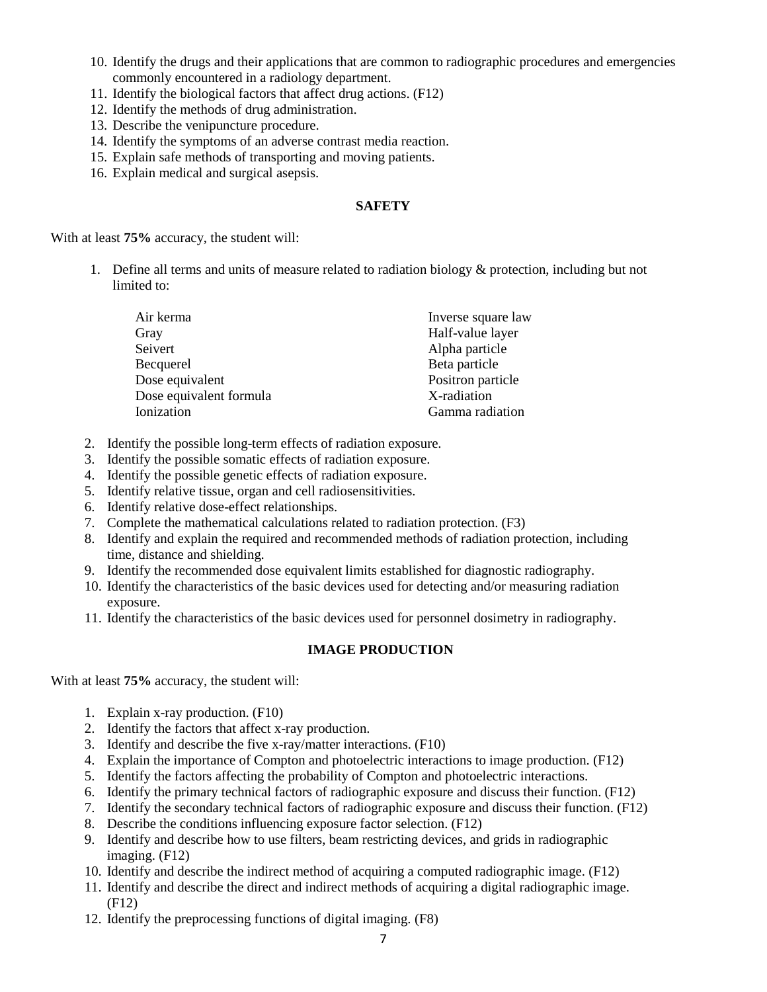- 10. Identify the drugs and their applications that are common to radiographic procedures and emergencies commonly encountered in a radiology department.
- 11. Identify the biological factors that affect drug actions. (F12)
- 12. Identify the methods of drug administration.
- 13. Describe the venipuncture procedure.
- 14. Identify the symptoms of an adverse contrast media reaction.
- 15. Explain safe methods of transporting and moving patients.
- 16. Explain medical and surgical asepsis.

## **SAFETY**

With at least **75%** accuracy, the student will:

1. Define all terms and units of measure related to radiation biology & protection, including but not limited to:

| Air kerma               | Inverse square law |
|-------------------------|--------------------|
| Gray                    | Half-value layer   |
| Seivert                 | Alpha particle     |
| Becquerel               | Beta particle      |
| Dose equivalent         | Positron particle  |
| Dose equivalent formula | X-radiation        |
| Ionization              | Gamma radiation    |

- 2. Identify the possible long-term effects of radiation exposure.
- 3. Identify the possible somatic effects of radiation exposure.
- 4. Identify the possible genetic effects of radiation exposure.
- 5. Identify relative tissue, organ and cell radiosensitivities.
- 6. Identify relative dose-effect relationships.
- 7. Complete the mathematical calculations related to radiation protection. (F3)
- 8. Identify and explain the required and recommended methods of radiation protection, including time, distance and shielding.
- 9. Identify the recommended dose equivalent limits established for diagnostic radiography.
- 10. Identify the characteristics of the basic devices used for detecting and/or measuring radiation exposure.
- 11. Identify the characteristics of the basic devices used for personnel dosimetry in radiography.

## **IMAGE PRODUCTION**

With at least **75%** accuracy, the student will:

- 1. Explain x-ray production. (F10)
- 2. Identify the factors that affect x-ray production.
- 3. Identify and describe the five x-ray/matter interactions. (F10)
- 4. Explain the importance of Compton and photoelectric interactions to image production. (F12)
- 5. Identify the factors affecting the probability of Compton and photoelectric interactions.
- 6. Identify the primary technical factors of radiographic exposure and discuss their function. (F12)
- 7. Identify the secondary technical factors of radiographic exposure and discuss their function. (F12)
- 8. Describe the conditions influencing exposure factor selection. (F12)
- 9. Identify and describe how to use filters, beam restricting devices, and grids in radiographic imaging. (F12)
- 10. Identify and describe the indirect method of acquiring a computed radiographic image. (F12)
- 11. Identify and describe the direct and indirect methods of acquiring a digital radiographic image. (F12)
- 12. Identify the preprocessing functions of digital imaging. (F8)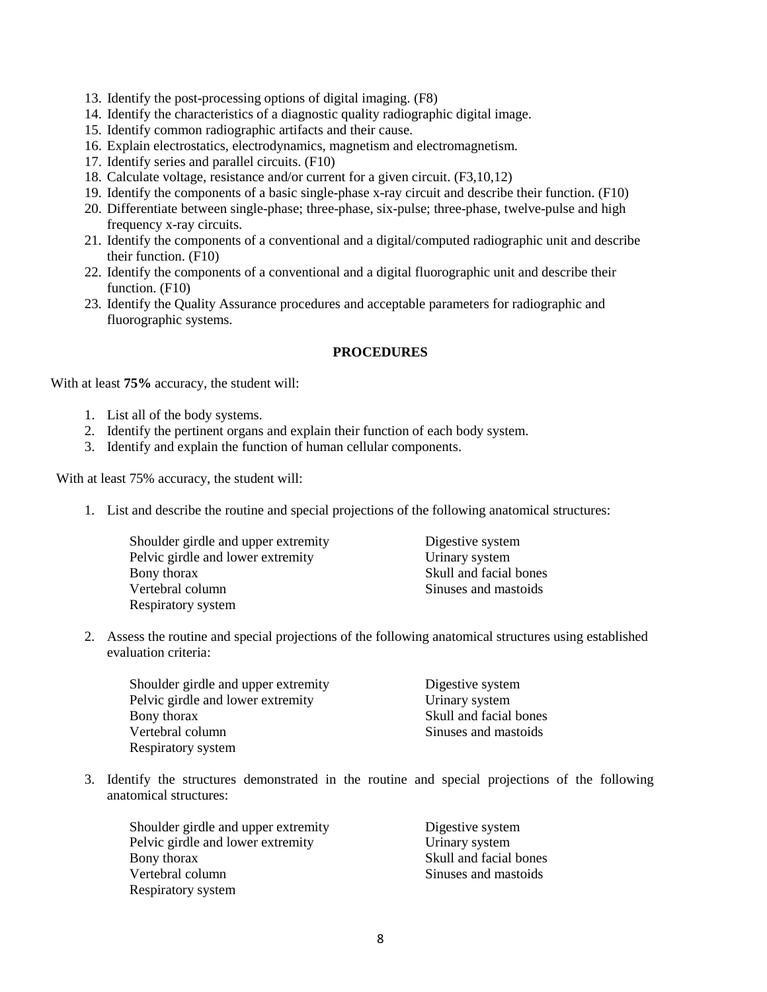- 13. Identify the post-processing options of digital imaging. (F8)
- 14. Identify the characteristics of a diagnostic quality radiographic digital image.
- 15. Identify common radiographic artifacts and their cause.
- 16. Explain electrostatics, electrodynamics, magnetism and electromagnetism.
- 17. Identify series and parallel circuits. (F10)
- 18. Calculate voltage, resistance and/or current for a given circuit. (F3,10,12)
- 19. Identify the components of a basic single-phase x-ray circuit and describe their function. (F10)
- 20. Differentiate between single-phase; three-phase, six-pulse; three-phase, twelve-pulse and high frequency x-ray circuits.
- 21. Identify the components of a conventional and a digital/computed radiographic unit and describe their function. (F10)
- 22. Identify the components of a conventional and a digital fluorographic unit and describe their function. (F10)
- 23. Identify the Quality Assurance procedures and acceptable parameters for radiographic and fluorographic systems.

## **PROCEDURES**

With at least **75%** accuracy, the student will:

- 1. List all of the body systems.
- 2. Identify the pertinent organs and explain their function of each body system.
- 3. Identify and explain the function of human cellular components.

With at least 75% accuracy, the student will:

1. List and describe the routine and special projections of the following anatomical structures:

Shoulder girdle and upper extremity Pelvic girdle and lower extremity Bony thorax Vertebral column Respiratory system

Digestive system Urinary system Skull and facial bones Sinuses and mastoids

2. Assess the routine and special projections of the following anatomical structures using established evaluation criteria:

| Shoulder girdle and upper extremity | Digestive system       |
|-------------------------------------|------------------------|
| Pelvic girdle and lower extremity   | Urinary system         |
| Bony thorax                         | Skull and facial bones |
| Vertebral column                    | Sinuses and mastoids   |
| Respiratory system                  |                        |

3. Identify the structures demonstrated in the routine and special projections of the following anatomical structures:

| Shoulder girdle and upper extremity |
|-------------------------------------|
| Pelvic girdle and lower extremity   |
| Bony thorax                         |
| Vertebral column                    |
| Respiratory system                  |

Digestive system Urinary system Skull and facial bones Sinuses and mastoids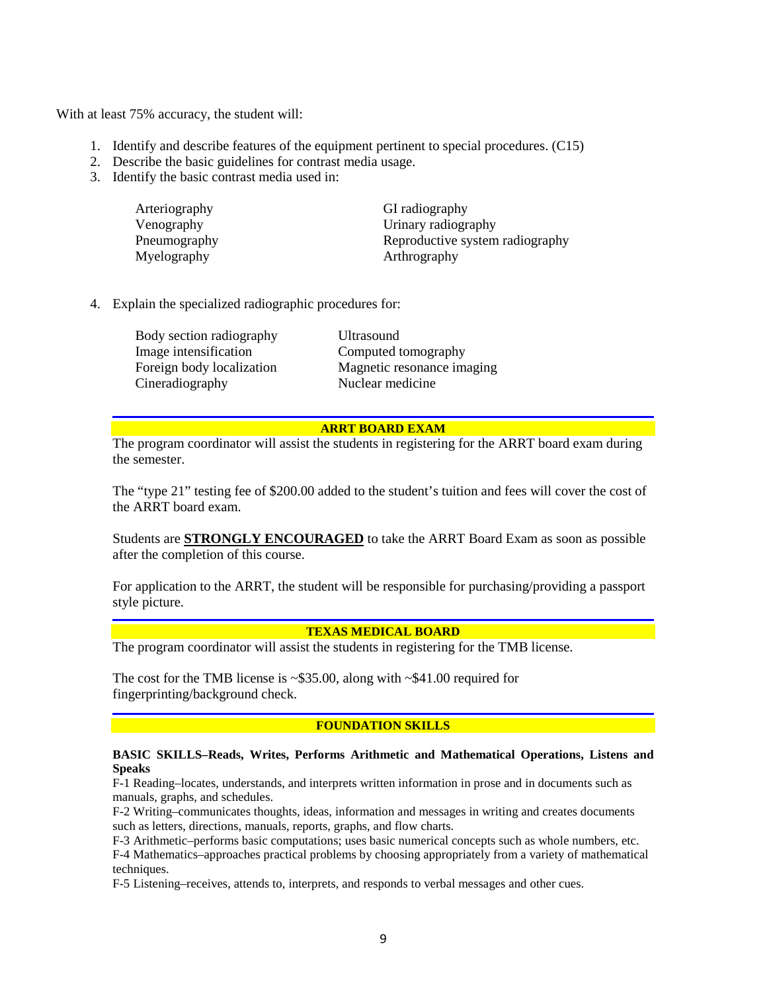With at least 75% accuracy, the student will:

- 1. Identify and describe features of the equipment pertinent to special procedures. (C15)
- 2. Describe the basic guidelines for contrast media usage.
- 3. Identify the basic contrast media used in:

| Arteriography | GI radiography                  |
|---------------|---------------------------------|
| Venography    | Urinary radiography             |
| Pneumography  | Reproductive system radiography |
| Myelography   | Arthrography                    |

4. Explain the specialized radiographic procedures for:

Body section radiography Ultrasound Image intensification Computed tomography Cineradiography Nuclear medicine

Foreign body localization Magnetic resonance imaging

**ARRT BOARD EXAM**

The program coordinator will assist the students in registering for the ARRT board exam during the semester.

The "type 21" testing fee of \$200.00 added to the student's tuition and fees will cover the cost of the ARRT board exam.

Students are **STRONGLY ENCOURAGED** to take the ARRT Board Exam as soon as possible after the completion of this course.

For application to the ARRT, the student will be responsible for purchasing/providing a passport style picture.

### **TEXAS MEDICAL BOARD**

The program coordinator will assist the students in registering for the TMB license.

The cost for the TMB license is ~\$35.00, along with ~\$41.00 required for fingerprinting/background check.

### **FOUNDATION SKILLS**

#### **BASIC SKILLS–Reads, Writes, Performs Arithmetic and Mathematical Operations, Listens and Speaks**

F-1 Reading–locates, understands, and interprets written information in prose and in documents such as manuals, graphs, and schedules.

F-2 Writing–communicates thoughts, ideas, information and messages in writing and creates documents such as letters, directions, manuals, reports, graphs, and flow charts.

F-3 Arithmetic–performs basic computations; uses basic numerical concepts such as whole numbers, etc.

F-4 Mathematics–approaches practical problems by choosing appropriately from a variety of mathematical techniques.

F-5 Listening–receives, attends to, interprets, and responds to verbal messages and other cues.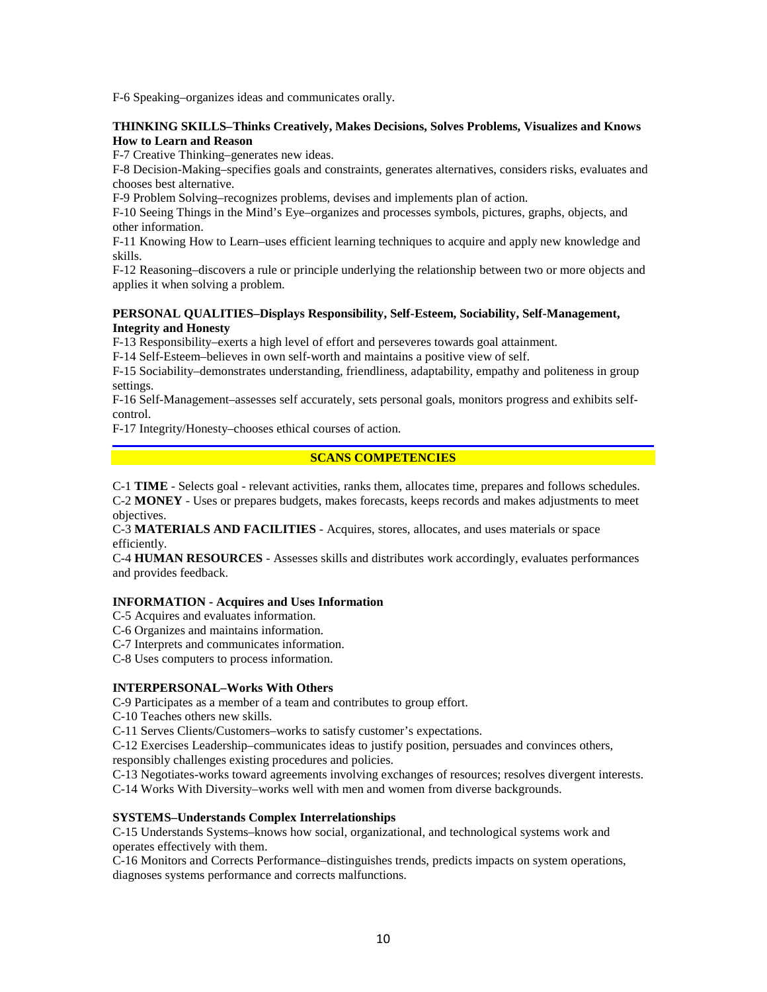F-6 Speaking–organizes ideas and communicates orally.

#### **THINKING SKILLS–Thinks Creatively, Makes Decisions, Solves Problems, Visualizes and Knows How to Learn and Reason**

F-7 Creative Thinking–generates new ideas.

F-8 Decision-Making–specifies goals and constraints, generates alternatives, considers risks, evaluates and chooses best alternative.

F-9 Problem Solving–recognizes problems, devises and implements plan of action.

F-10 Seeing Things in the Mind's Eye–organizes and processes symbols, pictures, graphs, objects, and other information.

F-11 Knowing How to Learn–uses efficient learning techniques to acquire and apply new knowledge and skills.

F-12 Reasoning–discovers a rule or principle underlying the relationship between two or more objects and applies it when solving a problem.

### **PERSONAL QUALITIES–Displays Responsibility, Self-Esteem, Sociability, Self-Management, Integrity and Honesty**

F-13 Responsibility–exerts a high level of effort and perseveres towards goal attainment.

F-14 Self-Esteem–believes in own self-worth and maintains a positive view of self.

F-15 Sociability–demonstrates understanding, friendliness, adaptability, empathy and politeness in group settings.

F-16 Self-Management–assesses self accurately, sets personal goals, monitors progress and exhibits selfcontrol.

F-17 Integrity/Honesty–chooses ethical courses of action.

### **SCANS COMPETENCIES**

C-1 **TIME** - Selects goal - relevant activities, ranks them, allocates time, prepares and follows schedules. C-2 **MONEY** - Uses or prepares budgets, makes forecasts, keeps records and makes adjustments to meet objectives.

C-3 **MATERIALS AND FACILITIES** - Acquires, stores, allocates, and uses materials or space efficiently.

C-4 **HUMAN RESOURCES** - Assesses skills and distributes work accordingly, evaluates performances and provides feedback.

### **INFORMATION - Acquires and Uses Information**

C-5 Acquires and evaluates information.

C-6 Organizes and maintains information.

C-7 Interprets and communicates information.

C-8 Uses computers to process information.

### **INTERPERSONAL–Works With Others**

C-9 Participates as a member of a team and contributes to group effort.

C-10 Teaches others new skills.

C-11 Serves Clients/Customers–works to satisfy customer's expectations.

C-12 Exercises Leadership–communicates ideas to justify position, persuades and convinces others,

responsibly challenges existing procedures and policies.

C-13 Negotiates-works toward agreements involving exchanges of resources; resolves divergent interests. C-14 Works With Diversity–works well with men and women from diverse backgrounds.

### **SYSTEMS–Understands Complex Interrelationships**

C-15 Understands Systems–knows how social, organizational, and technological systems work and operates effectively with them.

C-16 Monitors and Corrects Performance–distinguishes trends, predicts impacts on system operations, diagnoses systems performance and corrects malfunctions.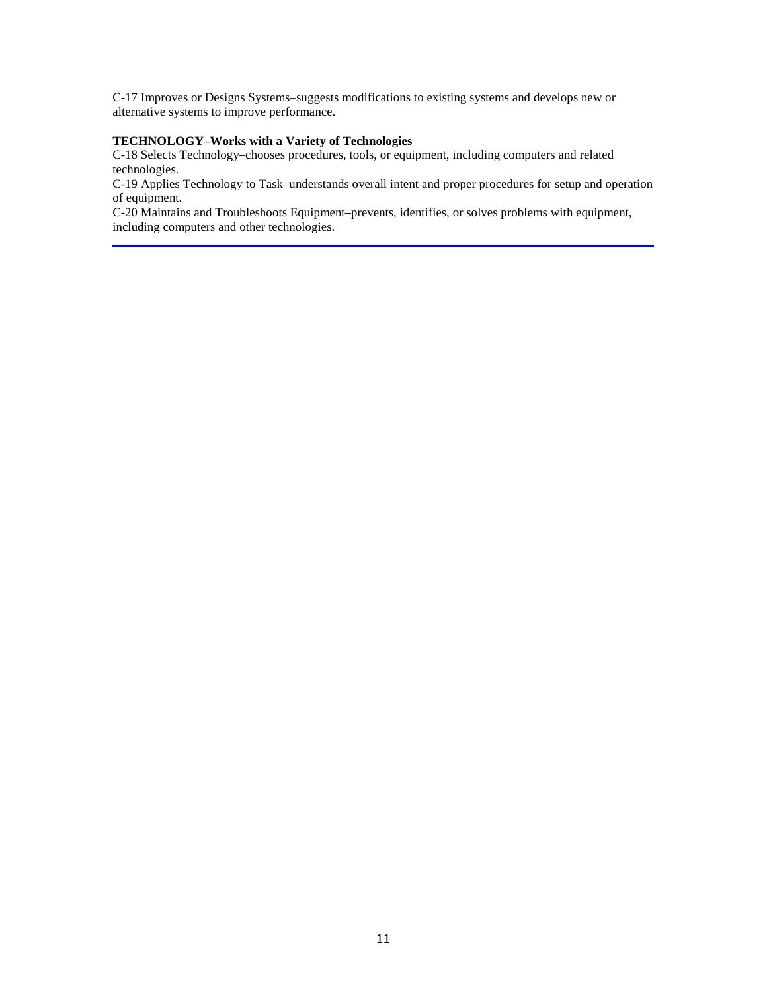C-17 Improves or Designs Systems–suggests modifications to existing systems and develops new or alternative systems to improve performance.

#### **TECHNOLOGY–Works with a Variety of Technologies**

C-18 Selects Technology–chooses procedures, tools, or equipment, including computers and related technologies.

C-19 Applies Technology to Task–understands overall intent and proper procedures for setup and operation of equipment.

C-20 Maintains and Troubleshoots Equipment–prevents, identifies, or solves problems with equipment, including computers and other technologies.